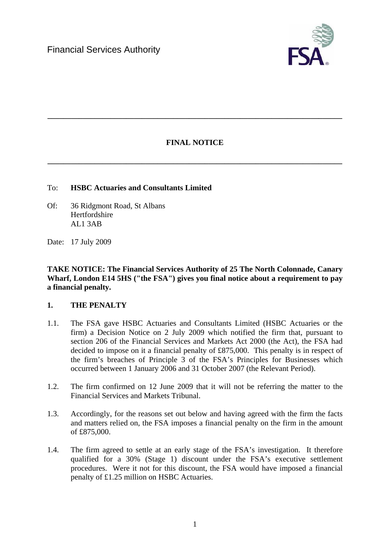

# **FINAL NOTICE**

**\_\_\_\_\_\_\_\_\_\_\_\_\_\_\_\_\_\_\_\_\_\_\_\_\_\_\_\_\_\_\_\_\_\_\_\_\_\_\_\_\_\_\_\_\_\_\_\_\_\_\_\_\_\_\_\_\_\_\_\_\_\_\_\_\_\_\_\_\_\_\_\_\_\_\_** 

**\_\_\_\_\_\_\_\_\_\_\_\_\_\_\_\_\_\_\_\_\_\_\_\_\_\_\_\_\_\_\_\_\_\_\_\_\_\_\_\_\_\_\_\_\_\_\_\_\_\_\_\_\_\_\_\_\_\_\_\_\_\_\_\_\_\_\_\_\_\_\_\_\_\_\_** 

### To: **HSBC Actuaries and Consultants Limited**

- Of:36 Ridgmont Road, St Albans Hertfordshire AL1 3AB
- Date: 17 July 2009

**TAKE NOTICE: The Financial Services Authority of 25 The North Colonnade, Canary Wharf, London E14 5HS ("the FSA") gives you final notice about a requirement to pay a financial penalty.** 

### **1. THE PENALTY**

- 1.1. The FSA gave HSBC Actuaries and Consultants Limited (HSBC Actuaries or the firm) a Decision Notice on 2 July 2009 which notified the firm that, pursuant to section 206 of the Financial Services and Markets Act 2000 (the Act), the FSA had decided to impose on it a financial penalty of £875,000. This penalty is in respect of the firm's breaches of Principle 3 of the FSA's Principles for Businesses which occurred between 1 January 2006 and 31 October 2007 (the Relevant Period).
- 1.2. The firm confirmed on 12 June 2009 that it will not be referring the matter to the Financial Services and Markets Tribunal.
- 1.3. Accordingly, for the reasons set out below and having agreed with the firm the facts and matters relied on, the FSA imposes a financial penalty on the firm in the amount of £875,000.
- 1.4. The firm agreed to settle at an early stage of the FSA's investigation. It therefore qualified for a 30% (Stage 1) discount under the FSA's executive settlement procedures. Were it not for this discount, the FSA would have imposed a financial penalty of £1.25 million on HSBC Actuaries.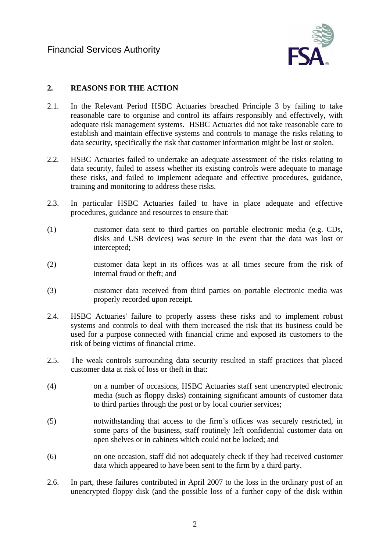

# **2. REASONS FOR THE ACTION**

- 2.1. In the Relevant Period HSBC Actuaries breached Principle 3 by failing to take reasonable care to organise and control its affairs responsibly and effectively, with adequate risk management systems. HSBC Actuaries did not take reasonable care to establish and maintain effective systems and controls to manage the risks relating to data security, specifically the risk that customer information might be lost or stolen.
- 2.2. HSBC Actuaries failed to undertake an adequate assessment of the risks relating to data security, failed to assess whether its existing controls were adequate to manage these risks, and failed to implement adequate and effective procedures, guidance, training and monitoring to address these risks.
- 2.3. In particular HSBC Actuaries failed to have in place adequate and effective procedures, guidance and resources to ensure that:
- (1) customer data sent to third parties on portable electronic media (e.g. CDs, disks and USB devices) was secure in the event that the data was lost or intercepted;
- (2) customer data kept in its offices was at all times secure from the risk of internal fraud or theft; and
- (3) customer data received from third parties on portable electronic media was properly recorded upon receipt.
- 2.4. HSBC Actuaries' failure to properly assess these risks and to implement robust systems and controls to deal with them increased the risk that its business could be used for a purpose connected with financial crime and exposed its customers to the risk of being victims of financial crime.
- 2.5. The weak controls surrounding data security resulted in staff practices that placed customer data at risk of loss or theft in that:
- (4) on a number of occasions, HSBC Actuaries staff sent unencrypted electronic media (such as floppy disks) containing significant amounts of customer data to third parties through the post or by local courier services;
- (5) notwithstanding that access to the firm's offices was securely restricted, in some parts of the business, staff routinely left confidential customer data on open shelves or in cabinets which could not be locked; and
- (6) on one occasion, staff did not adequately check if they had received customer data which appeared to have been sent to the firm by a third party.
- 2.6. In part, these failures contributed in April 2007 to the loss in the ordinary post of an unencrypted floppy disk (and the possible loss of a further copy of the disk within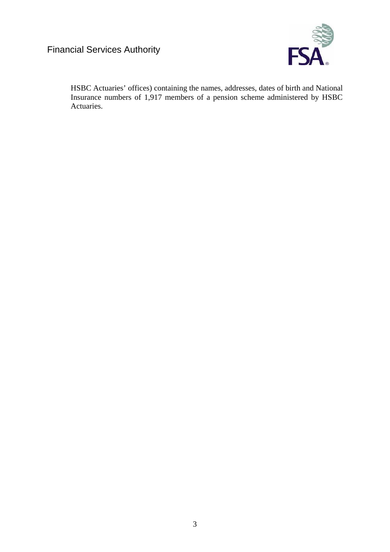

HSBC Actuaries' offices) containing the names, addresses, dates of birth and National Insurance numbers of 1,917 members of a pension scheme administered by HSBC Actuaries.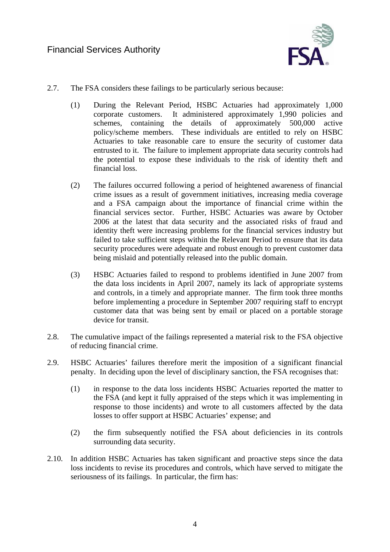

- 2.7. The FSA considers these failings to be particularly serious because:
	- (1) During the Relevant Period, HSBC Actuaries had approximately 1,000 corporate customers. It administered approximately 1,990 policies and schemes, containing the details of approximately 500,000 active policy/scheme members. These individuals are entitled to rely on HSBC Actuaries to take reasonable care to ensure the security of customer data entrusted to it. The failure to implement appropriate data security controls had the potential to expose these individuals to the risk of identity theft and financial loss.
	- (2) The failures occurred following a period of heightened awareness of financial crime issues as a result of government initiatives, increasing media coverage and a FSA campaign about the importance of financial crime within the financial services sector. Further, HSBC Actuaries was aware by October 2006 at the latest that data security and the associated risks of fraud and identity theft were increasing problems for the financial services industry but failed to take sufficient steps within the Relevant Period to ensure that its data security procedures were adequate and robust enough to prevent customer data being mislaid and potentially released into the public domain.
	- (3) HSBC Actuaries failed to respond to problems identified in June 2007 from the data loss incidents in April 2007, namely its lack of appropriate systems and controls, in a timely and appropriate manner. The firm took three months before implementing a procedure in September 2007 requiring staff to encrypt customer data that was being sent by email or placed on a portable storage device for transit.
- 2.8. The cumulative impact of the failings represented a material risk to the FSA objective of reducing financial crime.
- 2.9. HSBC Actuaries' failures therefore merit the imposition of a significant financial penalty. In deciding upon the level of disciplinary sanction, the FSA recognises that:
	- (1) in response to the data loss incidents HSBC Actuaries reported the matter to the FSA (and kept it fully appraised of the steps which it was implementing in response to those incidents) and wrote to all customers affected by the data losses to offer support at HSBC Actuaries' expense; and
	- (2) the firm subsequently notified the FSA about deficiencies in its controls surrounding data security.
- 2.10. In addition HSBC Actuaries has taken significant and proactive steps since the data loss incidents to revise its procedures and controls, which have served to mitigate the seriousness of its failings. In particular, the firm has: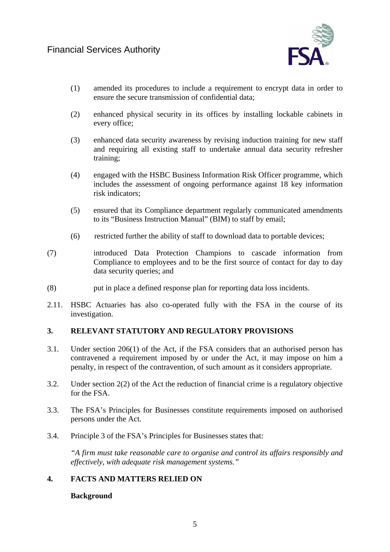

- (1) amended its procedures to include a requirement to encrypt data in order to ensure the secure transmission of confidential data;
- (2) enhanced physical security in its offices by installing lockable cabinets in every office;
- (3) enhanced data security awareness by revising induction training for new staff and requiring all existing staff to undertake annual data security refresher training;
- (4) engaged with the HSBC Business Information Risk Officer programme, which includes the assessment of ongoing performance against 18 key information risk indicators;
- (5) ensured that its Compliance department regularly communicated amendments to its "Business Instruction Manual" (BIM) to staff by email;
- (6) restricted further the ability of staff to download data to portable devices;
- (7) introduced Data Protection Champions to cascade information from Compliance to employees and to be the first source of contact for day to day data security queries; and
- (8) put in place a defined response plan for reporting data loss incidents.
- 2.11. HSBC Actuaries has also co-operated fully with the FSA in the course of its investigation.

### **3. RELEVANT STATUTORY AND REGULATORY PROVISIONS**

- 3.1. Under section 206(1) of the Act, if the FSA considers that an authorised person has contravened a requirement imposed by or under the Act, it may impose on him a penalty, in respect of the contravention, of such amount as it considers appropriate.
- 3.2. Under section 2(2) of the Act the reduction of financial crime is a regulatory objective for the FSA.
- 3.3. The FSA's Principles for Businesses constitute requirements imposed on authorised persons under the Act.
- 3.4. Principle 3 of the FSA's Principles for Businesses states that:

*"A firm must take reasonable care to organise and control its affairs responsibly and effectively, with adequate risk management systems."* 

# **4. FACTS AND MATTERS RELIED ON**

#### **Background**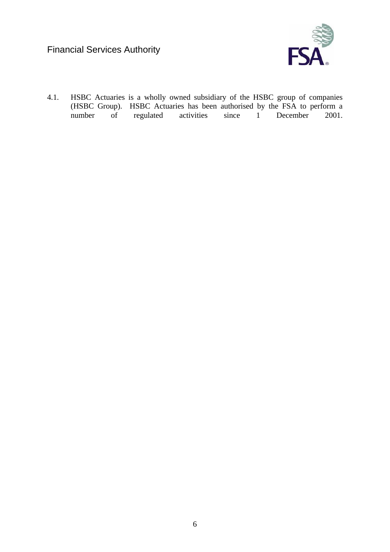

4.1. HSBC Actuaries is a wholly owned subsidiary of the HSBC group of companies (HSBC Group). HSBC Actuaries has been authorised by the FSA to perform a number of regulated activities since 1 December 2001.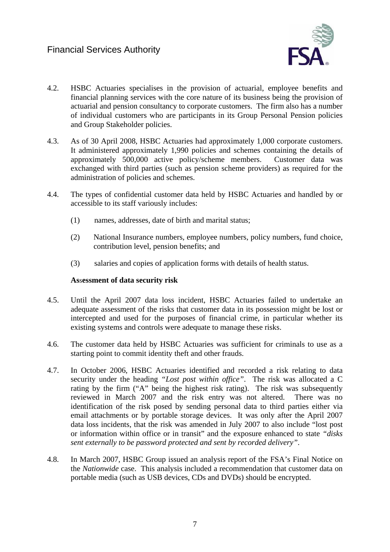

- 4.2. HSBC Actuaries specialises in the provision of actuarial, employee benefits and financial planning services with the core nature of its business being the provision of actuarial and pension consultancy to corporate customers. The firm also has a number of individual customers who are participants in its Group Personal Pension policies and Group Stakeholder policies.
- 4.3. As of 30 April 2008, HSBC Actuaries had approximately 1,000 corporate customers. It administered approximately 1,990 policies and schemes containing the details of approximately 500,000 active policy/scheme members. Customer data was exchanged with third parties (such as pension scheme providers) as required for the administration of policies and schemes.
- 4.4. The types of confidential customer data held by HSBC Actuaries and handled by or accessible to its staff variously includes:
	- (1) names, addresses, date of birth and marital status;
	- (2) National Insurance numbers, employee numbers, policy numbers, fund choice, contribution level, pension benefits; and
	- (3) salaries and copies of application forms with details of health status.

#### **As**s**essment of data security risk**

- 4.5. Until the April 2007 data loss incident, HSBC Actuaries failed to undertake an adequate assessment of the risks that customer data in its possession might be lost or intercepted and used for the purposes of financial crime, in particular whether its existing systems and controls were adequate to manage these risks.
- 4.6. The customer data held by HSBC Actuaries was sufficient for criminals to use as a starting point to commit identity theft and other frauds.
- 4.7. In October 2006, HSBC Actuaries identified and recorded a risk relating to data security under the heading *"Lost post within office"*. The risk was allocated a C rating by the firm ("A" being the highest risk rating). The risk was subsequently reviewed in March 2007 and the risk entry was not altered. There was no identification of the risk posed by sending personal data to third parties either via email attachments or by portable storage devices. It was only after the April 2007 data loss incidents, that the risk was amended in July 2007 to also include "lost post or information within office or in transit" and the exposure enhanced to state *"disks sent externally to be password protected and sent by recorded delivery"*.
- 4.8. In March 2007, HSBC Group issued an analysis report of the FSA's Final Notice on the *Nationwide* case. This analysis included a recommendation that customer data on portable media (such as USB devices, CDs and DVDs) should be encrypted.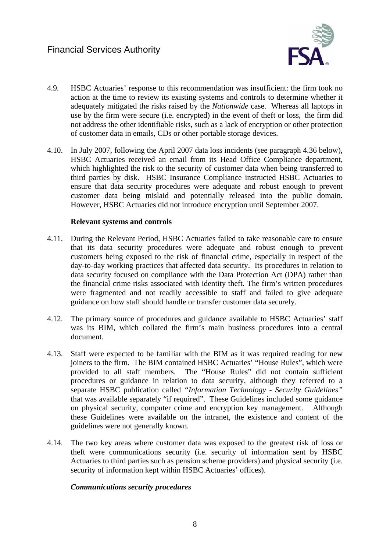

- 4.9. HSBC Actuaries' response to this recommendation was insufficient: the firm took no action at the time to review its existing systems and controls to determine whether it adequately mitigated the risks raised by the *Nationwide* case. Whereas all laptops in use by the firm were secure (i.e. encrypted) in the event of theft or loss, the firm did not address the other identifiable risks, such as a lack of encryption or other protection of customer data in emails, CDs or other portable storage devices.
- 4.10. In July 2007, following the April 2007 data loss incidents (see paragraph 4.36 below), HSBC Actuaries received an email from its Head Office Compliance department, which highlighted the risk to the security of customer data when being transferred to third parties by disk. HSBC Insurance Compliance instructed HSBC Actuaries to ensure that data security procedures were adequate and robust enough to prevent customer data being mislaid and potentially released into the public domain. However, HSBC Actuaries did not introduce encryption until September 2007.

#### **Relevant systems and controls**

- 4.11. During the Relevant Period, HSBC Actuaries failed to take reasonable care to ensure that its data security procedures were adequate and robust enough to prevent customers being exposed to the risk of financial crime, especially in respect of the day-to-day working practices that affected data security. Its procedures in relation to data security focused on compliance with the Data Protection Act (DPA) rather than the financial crime risks associated with identity theft. The firm's written procedures were fragmented and not readily accessible to staff and failed to give adequate guidance on how staff should handle or transfer customer data securely.
- 4.12. The primary source of procedures and guidance available to HSBC Actuaries' staff was its BIM, which collated the firm's main business procedures into a central document.
- 4.13. Staff were expected to be familiar with the BIM as it was required reading for new joiners to the firm. The BIM contained HSBC Actuaries' "House Rules", which were provided to all staff members. The "House Rules" did not contain sufficient procedures or guidance in relation to data security, although they referred to a separate HSBC publication called *"Information Technology - Security Guidelines"* that was available separately "if required". These Guidelines included some guidance on physical security, computer crime and encryption key management. Although these Guidelines were available on the intranet, the existence and content of the guidelines were not generally known.
- 4.14. The two key areas where customer data was exposed to the greatest risk of loss or theft were communications security (i.e. security of information sent by HSBC Actuaries to third parties such as pension scheme providers) and physical security (i.e. security of information kept within HSBC Actuaries' offices).

#### *Communications security procedures*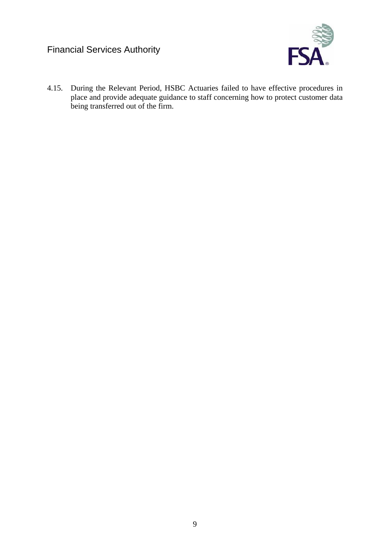

4.15. During the Relevant Period, HSBC Actuaries failed to have effective procedures in place and provide adequate guidance to staff concerning how to protect customer data being transferred out of the firm.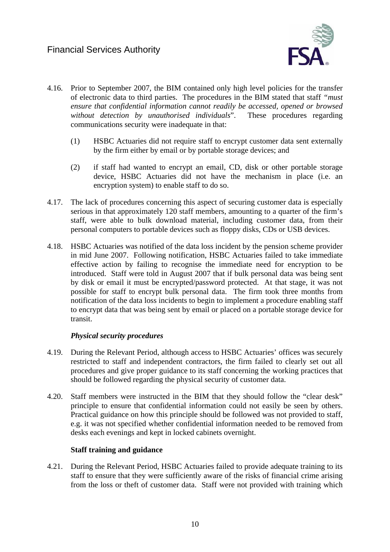

- 4.16. Prior to September 2007, the BIM contained only high level policies for the transfer of electronic data to third parties. The procedures in the BIM stated that staff *"must ensure that confidential information cannot readily be accessed, opened or browsed without detection by unauthorised individuals*". These procedures regarding communications security were inadequate in that:
	- (1) HSBC Actuaries did not require staff to encrypt customer data sent externally by the firm either by email or by portable storage devices; and
	- (2) if staff had wanted to encrypt an email, CD, disk or other portable storage device, HSBC Actuaries did not have the mechanism in place (i.e. an encryption system) to enable staff to do so.
- 4.17. The lack of procedures concerning this aspect of securing customer data is especially serious in that approximately 120 staff members, amounting to a quarter of the firm's staff, were able to bulk download material, including customer data, from their personal computers to portable devices such as floppy disks, CDs or USB devices.
- 4.18. HSBC Actuaries was notified of the data loss incident by the pension scheme provider in mid June 2007. Following notification, HSBC Actuaries failed to take immediate effective action by failing to recognise the immediate need for encryption to be introduced. Staff were told in August 2007 that if bulk personal data was being sent by disk or email it must be encrypted/password protected. At that stage, it was not possible for staff to encrypt bulk personal data. The firm took three months from notification of the data loss incidents to begin to implement a procedure enabling staff to encrypt data that was being sent by email or placed on a portable storage device for transit.

### *Physical security procedures*

- 4.19. During the Relevant Period, although access to HSBC Actuaries' offices was securely restricted to staff and independent contractors, the firm failed to clearly set out all procedures and give proper guidance to its staff concerning the working practices that should be followed regarding the physical security of customer data.
- 4.20. Staff members were instructed in the BIM that they should follow the "clear desk" principle to ensure that confidential information could not easily be seen by others. Practical guidance on how this principle should be followed was not provided to staff, e.g. it was not specified whether confidential information needed to be removed from desks each evenings and kept in locked cabinets overnight.

#### **Staff training and guidance**

4.21. During the Relevant Period, HSBC Actuaries failed to provide adequate training to its staff to ensure that they were sufficiently aware of the risks of financial crime arising from the loss or theft of customer data. Staff were not provided with training which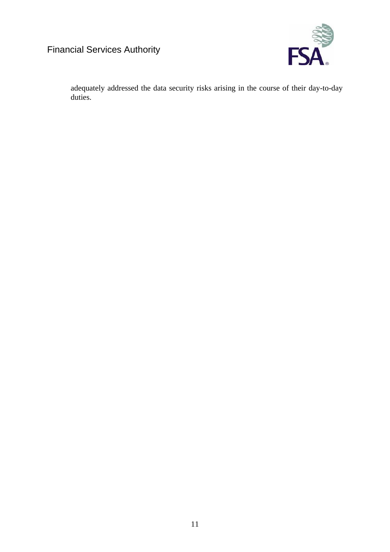

adequately addressed the data security risks arising in the course of their day-to-day duties.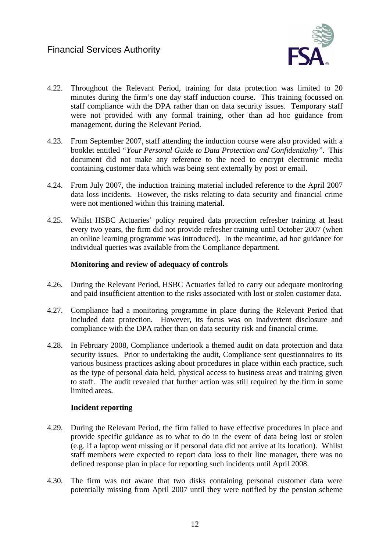

- 4.22. Throughout the Relevant Period, training for data protection was limited to 20 minutes during the firm's one day staff induction course. This training focussed on staff compliance with the DPA rather than on data security issues. Temporary staff were not provided with any formal training, other than ad hoc guidance from management, during the Relevant Period.
- 4.23. From September 2007, staff attending the induction course were also provided with a booklet entitled *"Your Personal Guide to Data Protection and Confidentiality"*. This document did not make any reference to the need to encrypt electronic media containing customer data which was being sent externally by post or email.
- 4.24. From July 2007, the induction training material included reference to the April 2007 data loss incidents. However, the risks relating to data security and financial crime were not mentioned within this training material.
- 4.25. Whilst HSBC Actuaries' policy required data protection refresher training at least every two years, the firm did not provide refresher training until October 2007 (when an online learning programme was introduced). In the meantime, ad hoc guidance for individual queries was available from the Compliance department.

#### **Monitoring and review of adequacy of controls**

- 4.26. During the Relevant Period, HSBC Actuaries failed to carry out adequate monitoring and paid insufficient attention to the risks associated with lost or stolen customer data.
- 4.27. Compliance had a monitoring programme in place during the Relevant Period that included data protection. However, its focus was on inadvertent disclosure and compliance with the DPA rather than on data security risk and financial crime.
- 4.28. In February 2008, Compliance undertook a themed audit on data protection and data security issues. Prior to undertaking the audit, Compliance sent questionnaires to its various business practices asking about procedures in place within each practice, such as the type of personal data held, physical access to business areas and training given to staff. The audit revealed that further action was still required by the firm in some limited areas.

### **Incident reporting**

- 4.29. During the Relevant Period, the firm failed to have effective procedures in place and provide specific guidance as to what to do in the event of data being lost or stolen (e.g. if a laptop went missing or if personal data did not arrive at its location). Whilst staff members were expected to report data loss to their line manager, there was no defined response plan in place for reporting such incidents until April 2008.
- 4.30. The firm was not aware that two disks containing personal customer data were potentially missing from April 2007 until they were notified by the pension scheme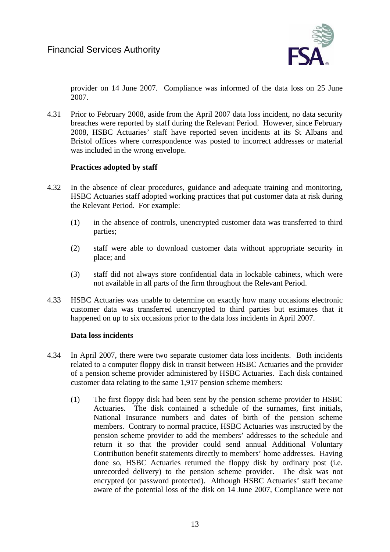

provider on 14 June 2007. Compliance was informed of the data loss on 25 June 2007.

4.31 Prior to February 2008, aside from the April 2007 data loss incident, no data security breaches were reported by staff during the Relevant Period. However, since February 2008, HSBC Actuaries' staff have reported seven incidents at its St Albans and Bristol offices where correspondence was posted to incorrect addresses or material was included in the wrong envelope.

### **Practices adopted by staff**

- 4.32 In the absence of clear procedures, guidance and adequate training and monitoring, HSBC Actuaries staff adopted working practices that put customer data at risk during the Relevant Period. For example:
	- (1) in the absence of controls, unencrypted customer data was transferred to third parties;
	- (2) staff were able to download customer data without appropriate security in place; and
	- (3) staff did not always store confidential data in lockable cabinets, which were not available in all parts of the firm throughout the Relevant Period.
- 4.33 HSBC Actuaries was unable to determine on exactly how many occasions electronic customer data was transferred unencrypted to third parties but estimates that it happened on up to six occasions prior to the data loss incidents in April 2007.

#### **Data loss incidents**

- 4.34 In April 2007, there were two separate customer data loss incidents. Both incidents related to a computer floppy disk in transit between HSBC Actuaries and the provider of a pension scheme provider administered by HSBC Actuaries. Each disk contained customer data relating to the same 1,917 pension scheme members:
	- (1) The first floppy disk had been sent by the pension scheme provider to HSBC Actuaries. The disk contained a schedule of the surnames, first initials, National Insurance numbers and dates of birth of the pension scheme members. Contrary to normal practice, HSBC Actuaries was instructed by the pension scheme provider to add the members' addresses to the schedule and return it so that the provider could send annual Additional Voluntary Contribution benefit statements directly to members' home addresses. Having done so, HSBC Actuaries returned the floppy disk by ordinary post (i.e. unrecorded delivery) to the pension scheme provider. The disk was not encrypted (or password protected). Although HSBC Actuaries' staff became aware of the potential loss of the disk on 14 June 2007, Compliance were not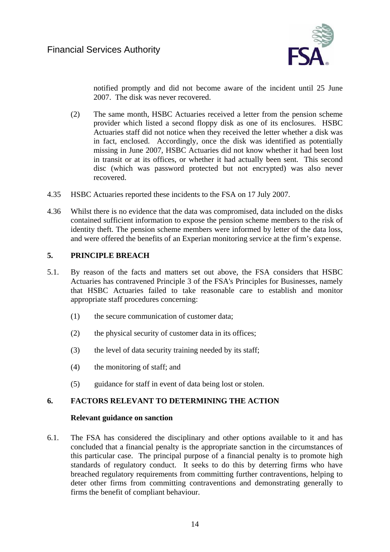

notified promptly and did not become aware of the incident until 25 June 2007. The disk was never recovered.

- (2) The same month, HSBC Actuaries received a letter from the pension scheme provider which listed a second floppy disk as one of its enclosures. HSBC Actuaries staff did not notice when they received the letter whether a disk was in fact, enclosed. Accordingly, once the disk was identified as potentially missing in June 2007, HSBC Actuaries did not know whether it had been lost in transit or at its offices, or whether it had actually been sent. This second disc (which was password protected but not encrypted) was also never recovered.
- 4.35 HSBC Actuaries reported these incidents to the FSA on 17 July 2007.
- 4.36 Whilst there is no evidence that the data was compromised, data included on the disks contained sufficient information to expose the pension scheme members to the risk of identity theft. The pension scheme members were informed by letter of the data loss, and were offered the benefits of an Experian monitoring service at the firm's expense.

#### **5. PRINCIPLE BREACH**

- 5.1. By reason of the facts and matters set out above, the FSA considers that HSBC Actuaries has contravened Principle 3 of the FSA's Principles for Businesses, namely that HSBC Actuaries failed to take reasonable care to establish and monitor appropriate staff procedures concerning:
	- (1) the secure communication of customer data;
	- (2) the physical security of customer data in its offices;
	- (3) the level of data security training needed by its staff;
	- (4) the monitoring of staff; and
	- (5) guidance for staff in event of data being lost or stolen.

### **6. FACTORS RELEVANT TO DETERMINING THE ACTION**

#### **Relevant guidance on sanction**

6.1. The FSA has considered the disciplinary and other options available to it and has concluded that a financial penalty is the appropriate sanction in the circumstances of this particular case. The principal purpose of a financial penalty is to promote high standards of regulatory conduct. It seeks to do this by deterring firms who have breached regulatory requirements from committing further contraventions, helping to deter other firms from committing contraventions and demonstrating generally to firms the benefit of compliant behaviour.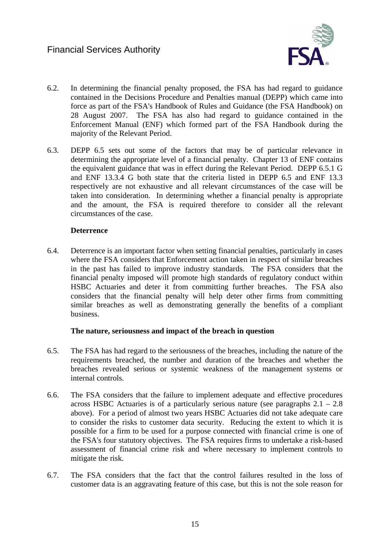

- 6.2. In determining the financial penalty proposed, the FSA has had regard to guidance contained in the Decisions Procedure and Penalties manual (DEPP) which came into force as part of the FSA's Handbook of Rules and Guidance (the FSA Handbook) on 28 August 2007. The FSA has also had regard to guidance contained in the Enforcement Manual (ENF) which formed part of the FSA Handbook during the majority of the Relevant Period.
- 6.3. DEPP 6.5 sets out some of the factors that may be of particular relevance in determining the appropriate level of a financial penalty. Chapter 13 of ENF contains the equivalent guidance that was in effect during the Relevant Period. DEPP 6.5.1 G and ENF 13.3.4 G both state that the criteria listed in DEPP 6.5 and ENF 13.3 respectively are not exhaustive and all relevant circumstances of the case will be taken into consideration. In determining whether a financial penalty is appropriate and the amount, the FSA is required therefore to consider all the relevant circumstances of the case.

#### **Deterrence**

6.4. Deterrence is an important factor when setting financial penalties, particularly in cases where the FSA considers that Enforcement action taken in respect of similar breaches in the past has failed to improve industry standards. The FSA considers that the financial penalty imposed will promote high standards of regulatory conduct within HSBC Actuaries and deter it from committing further breaches. The FSA also considers that the financial penalty will help deter other firms from committing similar breaches as well as demonstrating generally the benefits of a compliant business.

#### **The nature, seriousness and impact of the breach in question**

- 6.5. The FSA has had regard to the seriousness of the breaches, including the nature of the requirements breached, the number and duration of the breaches and whether the breaches revealed serious or systemic weakness of the management systems or internal controls.
- 6.6. The FSA considers that the failure to implement adequate and effective procedures across HSBC Actuaries is of a particularly serious nature (see paragraphs  $2.1 - 2.8$ ) above). For a period of almost two years HSBC Actuaries did not take adequate care to consider the risks to customer data security. Reducing the extent to which it is possible for a firm to be used for a purpose connected with financial crime is one of the FSA's four statutory objectives. The FSA requires firms to undertake a risk-based assessment of financial crime risk and where necessary to implement controls to mitigate the risk.
- 6.7. The FSA considers that the fact that the control failures resulted in the loss of customer data is an aggravating feature of this case, but this is not the sole reason for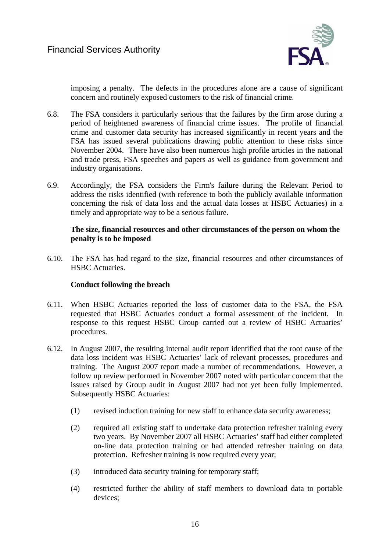

imposing a penalty. The defects in the procedures alone are a cause of significant concern and routinely exposed customers to the risk of financial crime.

- 6.8. The FSA considers it particularly serious that the failures by the firm arose during a period of heightened awareness of financial crime issues. The profile of financial crime and customer data security has increased significantly in recent years and the FSA has issued several publications drawing public attention to these risks since November 2004. There have also been numerous high profile articles in the national and trade press, FSA speeches and papers as well as guidance from government and industry organisations.
- 6.9. Accordingly, the FSA considers the Firm's failure during the Relevant Period to address the risks identified (with reference to both the publicly available information concerning the risk of data loss and the actual data losses at HSBC Actuaries) in a timely and appropriate way to be a serious failure.

### **The size, financial resources and other circumstances of the person on whom the penalty is to be imposed**

6.10. The FSA has had regard to the size, financial resources and other circumstances of HSBC Actuaries.

### **Conduct following the breach**

- 6.11. When HSBC Actuaries reported the loss of customer data to the FSA, the FSA requested that HSBC Actuaries conduct a formal assessment of the incident. In response to this request HSBC Group carried out a review of HSBC Actuaries' procedures.
- 6.12. In August 2007, the resulting internal audit report identified that the root cause of the data loss incident was HSBC Actuaries' lack of relevant processes, procedures and training. The August 2007 report made a number of recommendations. However, a follow up review performed in November 2007 noted with particular concern that the issues raised by Group audit in August 2007 had not yet been fully implemented. Subsequently HSBC Actuaries:
	- (1) revised induction training for new staff to enhance data security awareness;
	- (2) required all existing staff to undertake data protection refresher training every two years. By November 2007 all HSBC Actuaries' staff had either completed on-line data protection training or had attended refresher training on data protection. Refresher training is now required every year;
	- (3) introduced data security training for temporary staff;
	- (4) restricted further the ability of staff members to download data to portable devices;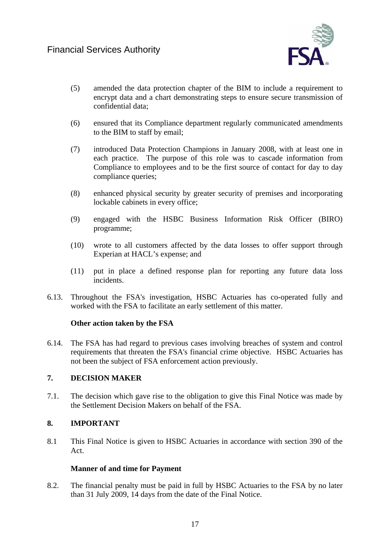

- (5) amended the data protection chapter of the BIM to include a requirement to encrypt data and a chart demonstrating steps to ensure secure transmission of confidential data;
- (6) ensured that its Compliance department regularly communicated amendments to the BIM to staff by email;
- (7) introduced Data Protection Champions in January 2008, with at least one in each practice. The purpose of this role was to cascade information from Compliance to employees and to be the first source of contact for day to day compliance queries;
- (8) enhanced physical security by greater security of premises and incorporating lockable cabinets in every office;
- (9) engaged with the HSBC Business Information Risk Officer (BIRO) programme;
- (10) wrote to all customers affected by the data losses to offer support through Experian at HACL's expense; and
- (11) put in place a defined response plan for reporting any future data loss incidents.
- 6.13. Throughout the FSA's investigation, HSBC Actuaries has co-operated fully and worked with the FSA to facilitate an early settlement of this matter.

### **Other action taken by the FSA**

6.14. The FSA has had regard to previous cases involving breaches of system and control requirements that threaten the FSA's financial crime objective. HSBC Actuaries has not been the subject of FSA enforcement action previously.

# **7. DECISION MAKER**

7.1. The decision which gave rise to the obligation to give this Final Notice was made by the Settlement Decision Makers on behalf of the FSA.

### **8. IMPORTANT**

8.1 This Final Notice is given to HSBC Actuaries in accordance with section 390 of the Act.

### **Manner of and time for Payment**

8.2. The financial penalty must be paid in full by HSBC Actuaries to the FSA by no later than 31 July 2009, 14 days from the date of the Final Notice.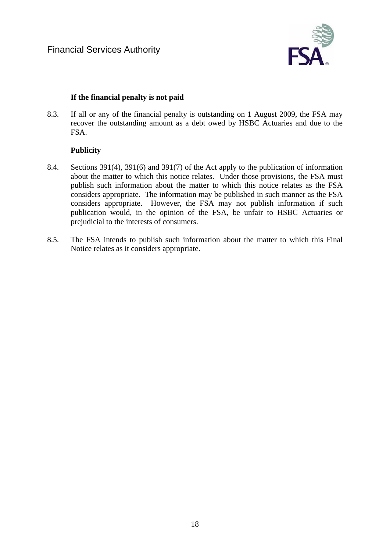

# **If the financial penalty is not paid**

8.3. If all or any of the financial penalty is outstanding on 1 August 2009, the FSA may recover the outstanding amount as a debt owed by HSBC Actuaries and due to the FSA.

# **Publicity**

- 8.4. Sections 391(4), 391(6) and 391(7) of the Act apply to the publication of information about the matter to which this notice relates. Under those provisions, the FSA must publish such information about the matter to which this notice relates as the FSA considers appropriate. The information may be published in such manner as the FSA considers appropriate. However, the FSA may not publish information if such publication would, in the opinion of the FSA, be unfair to HSBC Actuaries or prejudicial to the interests of consumers.
- 8.5. The FSA intends to publish such information about the matter to which this Final Notice relates as it considers appropriate.